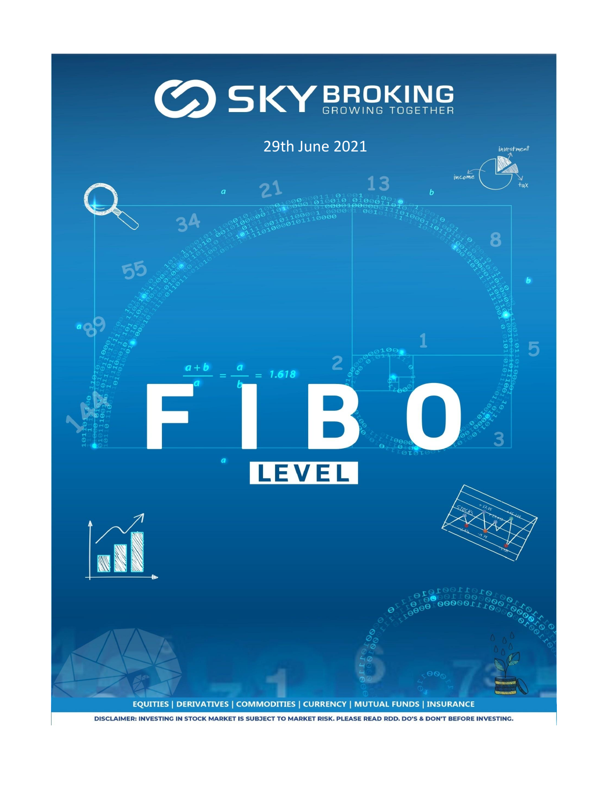## **GO SKY BROKING**

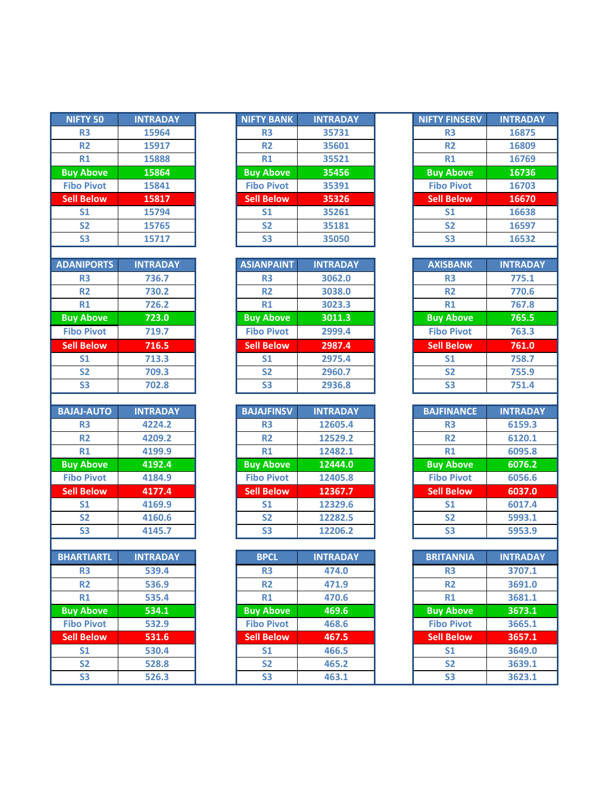| <b>NIFTY 50</b>   | <b>INTRADAY</b> | <b>NIFTY BANK</b> | <b>INTRADAY</b> | <b>NIFTY FINSERV</b> | <b>INTRADAY</b> |
|-------------------|-----------------|-------------------|-----------------|----------------------|-----------------|
| <b>R3</b>         | 15964           | R <sub>3</sub>    | 35731           | R <sub>3</sub>       | 16875           |
| <b>R2</b>         | 15917           | R <sub>2</sub>    | 35601           | R <sub>2</sub>       | 16809           |
| R1                | 15888           | R1                | 35521           | R1                   | 16769           |
| <b>Buy Above</b>  | 15864           | <b>Buy Above</b>  | 35456           | <b>Buy Above</b>     | 16736           |
| <b>Fibo Pivot</b> | 15841           | <b>Fibo Pivot</b> | 35391           | <b>Fibo Pivot</b>    | 16703           |
| <b>Sell Below</b> | 15817           | <b>Sell Below</b> | 35326           | <b>Sell Below</b>    | 16670           |
| S <sub>1</sub>    | 15794           | S <sub>1</sub>    | 35261           | <b>S1</b>            | 16638           |
| S <sub>2</sub>    | 15765           | <b>S2</b>         | 35181           | S <sub>2</sub>       | 16597           |
| <b>S3</b>         | 15717           | <b>S3</b>         | 35050           | <b>S3</b>            | 16532           |
|                   |                 |                   |                 |                      |                 |
| <b>ADANIPORTS</b> | <b>INTRADAY</b> | <b>ASIANPAINT</b> | <b>INTRADAY</b> | <b>AXISBANK</b>      | <b>INTRADAY</b> |
| <b>R3</b>         | 736.7           | R <sub>3</sub>    | 3062.0          | R <sub>3</sub>       | 775.1           |
| <b>R2</b>         | 730.2           | <b>R2</b>         | 3038.0          | <b>R2</b>            | 770.6           |
| R1                | 726.2           | R1                | 3023.3          | R1                   | 767.8           |
| <b>Buy Above</b>  | 723.0           | <b>Buy Above</b>  | 3011.3          | <b>Buy Above</b>     | 765.5           |
| <b>Fibo Pivot</b> | 719.7           | <b>Fibo Pivot</b> | 2999.4          | <b>Fibo Pivot</b>    | 763.3           |
| <b>Sell Below</b> | 716.5           | <b>Sell Below</b> | 2987.4          | <b>Sell Below</b>    | 761.0           |
| S <sub>1</sub>    | 713.3           | S <sub>1</sub>    | 2975.4          | <b>S1</b>            | 758.7           |
| S <sub>2</sub>    | 709.3           | S <sub>2</sub>    | 2960.7          | S <sub>2</sub>       | 755.9           |
| <b>S3</b>         | 702.8           | S <sub>3</sub>    | 2936.8          | <b>S3</b>            | 751.4           |
| <b>BAJAJ-AUTO</b> | <b>INTRADAY</b> | <b>BAJAJFINSV</b> | <b>INTRADAY</b> | <b>BAJFINANCE</b>    | <b>INTRADAY</b> |
| R <sub>3</sub>    | 4224.2          | R <sub>3</sub>    | 12605.4         | R <sub>3</sub>       | 6159.3          |
| <b>R2</b>         | 4209.2          | R <sub>2</sub>    | 12529.2         | R <sub>2</sub>       | 6120.1          |
| R1                | 4199.9          | R1                | 12482.1         | R1                   | 6095.8          |
| <b>Buy Above</b>  | 4192.4          | <b>Buy Above</b>  | 12444.0         | <b>Buy Above</b>     | 6076.2          |
| <b>Fibo Pivot</b> | 4184.9          | <b>Fibo Pivot</b> | 12405.8         | <b>Fibo Pivot</b>    | 6056.6          |
| <b>Sell Below</b> | 4177.4          | <b>Sell Below</b> | 12367.7         | <b>Sell Below</b>    | 6037.0          |
| S <sub>1</sub>    | 4169.9          | S <sub>1</sub>    | 12329.6         | S <sub>1</sub>       | 6017.4          |
| S <sub>2</sub>    | 4160.6          | <b>S2</b>         | 12282.5         | S <sub>2</sub>       | 5993.1          |
| <b>S3</b>         | 4145.7          | <b>S3</b>         | 12206.2         | S <sub>3</sub>       | 5953.9          |
|                   |                 |                   |                 |                      |                 |
| <b>BHARTIARTL</b> | <b>INTRADAY</b> | <b>BPCL</b>       | <b>INTRADAY</b> | <b>BRITANNIA</b>     | <b>INTRADAY</b> |
| R3                | 539.4           | R <sub>3</sub>    | 474.0           | R <sub>3</sub>       | 3707.1          |
| R2                | 536.9           | <b>R2</b>         | 471.9           | R <sub>2</sub>       | 3691.0          |
| R1                | 535.4           | R1                | 470.6           | R1                   | 3681.1          |
| <b>Buy Above</b>  | 534.1           | <b>Buy Above</b>  | 469.6           | <b>Buy Above</b>     | 3673.1          |
| <b>Fibo Pivot</b> | 532.9           | <b>Fibo Pivot</b> | 468.6           | <b>Fibo Pivot</b>    | 3665.1          |
| <b>Sell Below</b> | 531.6           | <b>Sell Below</b> | 467.5           | <b>Sell Below</b>    | 3657.1          |
| S <sub>1</sub>    | 530.4           | S <sub>1</sub>    | 466.5           | S <sub>1</sub>       | 3649.0          |
| <b>S2</b>         | 528.8           | <b>S2</b>         | 465.2           | S <sub>2</sub>       | 3639.1          |
| <b>CD</b>         | <b>EDED</b>     | <b>CD</b>         | AC21            | <b>CD</b>            | 2C221           |

ı

| <b>NIFTY 50</b>   | <b>INTRADAY</b> | NIFTY BANK        | <b>INTRADAY</b> | <b>NIFTY FINSERV</b> | <b>INTRADAY</b> |
|-------------------|-----------------|-------------------|-----------------|----------------------|-----------------|
| R <sub>3</sub>    | 15964           | R <sub>3</sub>    | 35731           | R <sub>3</sub>       | 16875           |
| R <sub>2</sub>    | 15917           | R <sub>2</sub>    | 35601           | <b>R2</b>            | 16809           |
| R1                | 15888           | R1                | 35521           | R1                   | 16769           |
| <b>Buy Above</b>  | 15864           | <b>Buy Above</b>  | 35456           | <b>Buy Above</b>     | 16736           |
| <b>Fibo Pivot</b> | 15841           | <b>Fibo Pivot</b> | 35391           | <b>Fibo Pivot</b>    | 16703           |
| <b>Sell Below</b> | 15817           | <b>Sell Below</b> | 35326           | <b>Sell Below</b>    | 16670           |
| S <sub>1</sub>    | 15794           | S <sub>1</sub>    | 35261           | S <sub>1</sub>       | 16638           |
| <b>S2</b>         | 15765           | S <sub>2</sub>    | 35181           | <b>S2</b>            | 16597           |
| S <sub>3</sub>    | 15717           | S <sub>3</sub>    | 35050           | S <sub>3</sub>       | 16532           |
|                   |                 |                   |                 |                      |                 |

| <b>ADANIPORTS</b> | <b>INTRADAY</b> | <b>ASIANPAINT</b> | <b>INTRADAY</b> | <b>AXISBANK</b>   | <b>INTRADAY</b> |
|-------------------|-----------------|-------------------|-----------------|-------------------|-----------------|
| R <sub>3</sub>    | 736.7           | R <sub>3</sub>    | 3062.0          | R <sub>3</sub>    | 775.1           |
| R <sub>2</sub>    | 730.2           | <b>R2</b>         | 3038.0          | <b>R2</b>         | 770.6           |
| R1                | 726.2           | R1                | 3023.3          | R1                | 767.8           |
| <b>Buy Above</b>  | 723.0           | <b>Buy Above</b>  | 3011.3          | <b>Buy Above</b>  | 765.5           |
| <b>Fibo Pivot</b> | 719.7           | <b>Fibo Pivot</b> | 2999.4          | <b>Fibo Pivot</b> | 763.3           |
| <b>Sell Below</b> | 716.5           | <b>Sell Below</b> | 2987.4          | <b>Sell Below</b> | 761.0           |
| S <sub>1</sub>    | 713.3           | S <sub>1</sub>    | 2975.4          | S <sub>1</sub>    | 758.7           |
| S <sub>2</sub>    | 709.3           | S <sub>2</sub>    | 2960.7          | <b>S2</b>         | 755.9           |
| S <sub>3</sub>    | 702.8           | S <sub>3</sub>    | 2936.8          | S <sub>3</sub>    | 751.4           |

| <b>OTUA-LALA</b>  | <b>INTRADAY</b> | <b>BAJAJFINSV</b> | <b>INTRADAY</b> | <b>BAJFINANCE</b> |  |
|-------------------|-----------------|-------------------|-----------------|-------------------|--|
| R <sub>3</sub>    | 4224.2          | R <sub>3</sub>    | 12605.4         | R <sub>3</sub>    |  |
| R <sub>2</sub>    | 4209.2          | R <sub>2</sub>    | 12529.2         | R <sub>2</sub>    |  |
| R1                | 4199.9          | R1                | 12482.1         | R1                |  |
| <b>Buy Above</b>  | 4192.4          | <b>Buy Above</b>  | 12444.0         | <b>Buy Above</b>  |  |
| <b>Fibo Pivot</b> | 4184.9          | <b>Fibo Pivot</b> | 12405.8         | <b>Fibo Pivot</b> |  |
| <b>Sell Below</b> | 4177.4          | <b>Sell Below</b> | 12367.7         | <b>Sell Below</b> |  |
| S <sub>1</sub>    | 4169.9          | S <sub>1</sub>    | 12329.6         | S <sub>1</sub>    |  |
| <b>S2</b>         | 4160.6          | S <sub>2</sub>    | 12282.5         | <b>S2</b>         |  |
| S <sub>3</sub>    | 4145.7          | S <sub>3</sub>    | 12206.2         | S <sub>3</sub>    |  |

| <b>BHARTIARTL</b> | <b>INTRADAY</b> | <b>BPCL</b>       | <b>INTRADAY</b> | <b>BRITANNIA</b>  | <b>INTRADAY</b> |
|-------------------|-----------------|-------------------|-----------------|-------------------|-----------------|
| R <sub>3</sub>    | 539.4           | R <sub>3</sub>    | 474.0           | R <sub>3</sub>    | 3707.1          |
| <b>R2</b>         | 536.9           | R2                | 471.9           | R <sub>2</sub>    | 3691.0          |
| R1                | 535.4           | R1                | 470.6           | R1                | 3681.1          |
| <b>Buy Above</b>  | 534.1           | <b>Buy Above</b>  | 469.6           | <b>Buy Above</b>  | 3673.1          |
| <b>Fibo Pivot</b> | 532.9           | <b>Fibo Pivot</b> | 468.6           | <b>Fibo Pivot</b> | 3665.1          |
| <b>Sell Below</b> | 531.6           | <b>Sell Below</b> | 467.5           | <b>Sell Below</b> | 3657.1          |
| S <sub>1</sub>    | 530.4           | S <sub>1</sub>    | 466.5           | S <sub>1</sub>    | 3649.0          |
| S <sub>2</sub>    | 528.8           | S <sub>2</sub>    | 465.2           | S <sub>2</sub>    | 3639.1          |
| <b>S3</b>         | 526.3           | S <sub>3</sub>    | 463.1           | S <sub>3</sub>    | 3623.1          |
|                   |                 |                   |                 |                   |                 |

| <b>NIFTY FINSERV</b> | <b>INTRADAY</b> |
|----------------------|-----------------|
| R <sub>3</sub>       | 16875           |
| R <sub>2</sub>       | 16809           |
| R1                   | 16769           |
| <b>Buy Above</b>     | 16736           |
| <b>Fibo Pivot</b>    | 16703           |
| <b>Sell Below</b>    | 16670           |
| S <sub>1</sub>       | 16638           |
| <b>S2</b>            | 16597           |
| S3                   | 16532           |

| <b>AXISBANK</b>   | <b>INTRADAY</b> |
|-------------------|-----------------|
| R3                | 775.1           |
| R <sub>2</sub>    | 770.6           |
| R1                | 767.8           |
| <b>Buy Above</b>  | 765.5           |
| <b>Fibo Pivot</b> | 763.3           |
| <b>Sell Below</b> | 761.0           |
| S <sub>1</sub>    | 758.7           |
| S <sub>2</sub>    | 755.9           |
| S3                | 751.4           |

| <b>BAJFINANCE</b> | <b>INTRADAY</b> |
|-------------------|-----------------|
| R3                | 6159.3          |
| R <sub>2</sub>    | 6120.1          |
| R1                | 6095.8          |
| <b>Buy Above</b>  | 6076.2          |
| <b>Fibo Pivot</b> | 6056.6          |
| <b>Sell Below</b> | 6037.0          |
| S <sub>1</sub>    | 6017.4          |
| <b>S2</b>         | 5993.1          |
| S3                | 5953.9          |

| <b>BRITANNIA</b>  | <b>INTRADAY</b> |
|-------------------|-----------------|
| R3                | 3707.1          |
| R <sub>2</sub>    | 3691.0          |
| R1                | 3681.1          |
| <b>Buy Above</b>  | 3673.1          |
| <b>Fibo Pivot</b> | 3665.1          |
| <b>Sell Below</b> | 3657.1          |
| S <sub>1</sub>    | 3649.0          |
| S <sub>2</sub>    | 3639.1          |
| S <sub>3</sub>    | 3623.1          |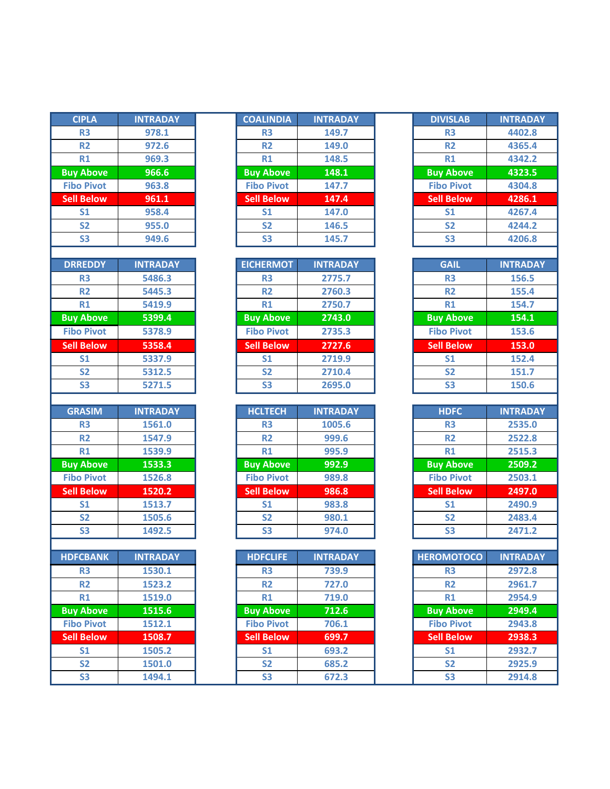| <b>CIPLA</b>      | <b>INTRADAY</b> |
|-------------------|-----------------|
| R <sub>3</sub>    | 978.1           |
| R <sub>2</sub>    | 972.6           |
| <b>R1</b>         | 969.3           |
| <b>Buy Above</b>  | 966.6           |
| <b>Fibo Pivot</b> | 963.8           |
| <b>Sell Below</b> | 961.1           |
| S <sub>1</sub>    | 958.4           |
| <b>S2</b>         | 955.0           |
| S <sub>3</sub>    | 949.6           |
|                   |                 |
| <b>DRREDDY</b>    | <b>INTRADAY</b> |
| R <sub>3</sub>    | 5486.3          |
| <b>R2</b>         | 5445.3          |
| R1                | 5419.9          |
| <b>Buy Above</b>  | 5399.4          |
| <b>Fibo Pivot</b> | 5378.9          |
| <b>Sell Below</b> | 5358.4          |
| S <sub>1</sub>    | 5337.9          |
| S <sub>2</sub>    | 5312.5          |
| S <sub>3</sub>    | 5271.5          |
|                   |                 |
|                   |                 |
| <b>GRASIM</b>     | <b>INTRADAY</b> |
| R <sub>3</sub>    | 1561.0          |
| R <sub>2</sub>    | 1547.9          |
| R1                | 1539.9          |
| <b>Buy Above</b>  | 1533.3          |
| <b>Fibo Pivot</b> | 1526.8          |
| <b>Sell Below</b> | 1520.2          |
| S <sub>1</sub>    | 1513.7          |
| S <sub>2</sub>    | 1505.6          |
| S3                | 1492.5          |
|                   |                 |
| <b>HDFCBANK</b>   | <b>INTRADAY</b> |
| R <sub>3</sub>    | 1530.1          |
| R <sub>2</sub>    | 1523.2          |
| R1                | 1519.0          |
| <b>Buy Above</b>  | 1515.6          |
| <b>Fibo Pivot</b> | 1512.1          |
| <b>Sell Below</b> | 1508.7          |
| S <sub>1</sub>    | 1505.2          |
| S2                | 1501.0          |

| <b>CIPLA</b>      | <b>INTRADAY</b> | <b>COALINDIA</b>  | <b>INTRADAY</b> | <b>DIVISLAB</b>   | <b>INTRADAY</b> |
|-------------------|-----------------|-------------------|-----------------|-------------------|-----------------|
| R <sub>3</sub>    | 978.1           | R <sub>3</sub>    | 149.7           | R <sub>3</sub>    | 4402.8          |
| <b>R2</b>         | 972.6           | R <sub>2</sub>    | 149.0           | <b>R2</b>         | 4365.4          |
| R1                | 969.3           | R1                | 148.5           | R1                | 4342.2          |
| <b>Buy Above</b>  | 966.6           | <b>Buy Above</b>  | 148.1           | <b>Buy Above</b>  | 4323.5          |
| <b>Fibo Pivot</b> | 963.8           | <b>Fibo Pivot</b> | 147.7           | <b>Fibo Pivot</b> | 4304.8          |
| <b>Sell Below</b> | 961.1           | <b>Sell Below</b> | 147.4           | <b>Sell Below</b> | 4286.1          |
| S <sub>1</sub>    | 958.4           | S <sub>1</sub>    | 147.0           | S <sub>1</sub>    | 4267.4          |
| <b>S2</b>         | 955.0           | <b>S2</b>         | 146.5           | <b>S2</b>         | 4244.2          |
| S <sub>3</sub>    | 949.6           | S <sub>3</sub>    | 145.7           | S <sub>3</sub>    | 4206.8          |
|                   |                 |                   |                 |                   |                 |

| <b>DRREDDY</b>    | <b>INTRADAY</b> | <b>EICHERMOT</b>  | <b>INTRADAY</b> | <b>GAIL</b>       | <b>INTRADAY</b> |
|-------------------|-----------------|-------------------|-----------------|-------------------|-----------------|
| <b>R3</b>         | 5486.3          | R <sub>3</sub>    | 2775.7          | R <sub>3</sub>    | 156.5           |
| <b>R2</b>         | 5445.3          | R <sub>2</sub>    | 2760.3          | <b>R2</b>         | 155.4           |
| R1                | 5419.9          | R1                | 2750.7          | R1                | 154.7           |
| <b>Buy Above</b>  | 5399.4          | <b>Buy Above</b>  | 2743.0          | <b>Buy Above</b>  | 154.1           |
| <b>Fibo Pivot</b> | 5378.9          | <b>Fibo Pivot</b> | 2735.3          | <b>Fibo Pivot</b> | 153.6           |
| <b>Sell Below</b> | 5358.4          | <b>Sell Below</b> | 2727.6          | <b>Sell Below</b> | 153.0           |
| S <sub>1</sub>    | 5337.9          | S <sub>1</sub>    | 2719.9          | S <sub>1</sub>    | 152.4           |
| S <sub>2</sub>    | 5312.5          | S <sub>2</sub>    | 2710.4          | <b>S2</b>         | 151.7           |
| S <sub>3</sub>    | 5271.5          | S <sub>3</sub>    | 2695.0          | S <sub>3</sub>    | 150.6           |

| <b>GRASIM</b>     | <b>INTRADAY</b> | <b>HCLTECH</b>    | <b>INTRADAY</b> | <b>HDFC</b>       | <b>INTRADAY</b> |
|-------------------|-----------------|-------------------|-----------------|-------------------|-----------------|
| R <sub>3</sub>    | 1561.0          | R <sub>3</sub>    | 1005.6          | R <sub>3</sub>    | 2535.0          |
| <b>R2</b>         | 1547.9          | R <sub>2</sub>    | 999.6           | <b>R2</b>         | 2522.8          |
| <b>R1</b>         | 1539.9          | R1                | 995.9           | R1                | 2515.3          |
| <b>Buy Above</b>  | 1533.3          | <b>Buy Above</b>  | 992.9           | <b>Buy Above</b>  | 2509.2          |
| <b>Fibo Pivot</b> | 1526.8          | <b>Fibo Pivot</b> | 989.8           | <b>Fibo Pivot</b> | 2503.1          |
| <b>Sell Below</b> | 1520.2          | <b>Sell Below</b> | 986.8           | Sell Below        | 2497.0          |
| S <sub>1</sub>    | 1513.7          | S <sub>1</sub>    | 983.8           | S <sub>1</sub>    | 2490.9          |
| <b>S2</b>         | 1505.6          | S <sub>2</sub>    | 980.1           | <b>S2</b>         | 2483.4          |
| S <sub>3</sub>    | 1492.5          | S <sub>3</sub>    | 974.0           | S <sub>3</sub>    | 2471.2          |

| <b>HDFCBANK</b>   | <b>INTRADAY</b> | <b>HDFCLIFE</b>   | <b>INTRADAY</b> | <b>HEROMOTOCO</b> | <b>INTRADAY</b> |
|-------------------|-----------------|-------------------|-----------------|-------------------|-----------------|
| <b>R3</b>         | 1530.1          | R <sub>3</sub>    | 739.9           | R <sub>3</sub>    | 2972.8          |
| <b>R2</b>         | 1523.2          | <b>R2</b>         | 727.0           | <b>R2</b>         | 2961.7          |
| R1                | 1519.0          | R1                | 719.0           | R1                | 2954.9          |
| <b>Buy Above</b>  | 1515.6          | <b>Buy Above</b>  | 712.6           | <b>Buy Above</b>  | 2949.4          |
| <b>Fibo Pivot</b> | 1512.1          | <b>Fibo Pivot</b> | 706.1           | <b>Fibo Pivot</b> | 2943.8          |
| <b>Sell Below</b> | 1508.7          | <b>Sell Below</b> | 699.7           | <b>Sell Below</b> | 2938.3          |
| S <sub>1</sub>    | 1505.2          | S <sub>1</sub>    | 693.2           | S <sub>1</sub>    | 2932.7          |
| S <sub>2</sub>    | 1501.0          | S <sub>2</sub>    | 685.2           | <b>S2</b>         | 2925.9          |
| S <sub>3</sub>    | 1494.1          | S <sub>3</sub>    | 672.3           | S <sub>3</sub>    | 2914.8          |
|                   |                 |                   |                 |                   |                 |

| <b>DIVISLAB</b>   | <b>INTRADAY</b> |
|-------------------|-----------------|
| R3                | 4402.8          |
| R <sub>2</sub>    | 4365.4          |
| R1                | 4342.2          |
| <b>Buy Above</b>  | 4323.5          |
| <b>Fibo Pivot</b> | 4304.8          |
| <b>Sell Below</b> | 4286.1          |
| S1                | 4267.4          |
| S <sub>2</sub>    | 4244.2          |
| S3                | 4206.8          |

| <b>GAIL</b>       | <b>INTRADAY</b> |
|-------------------|-----------------|
| R3                | 156.5           |
| R <sub>2</sub>    | 155.4           |
| R1                | 154.7           |
| <b>Buy Above</b>  | 154.1           |
| <b>Fibo Pivot</b> | 153.6           |
| <b>Sell Below</b> | 153.0           |
| S <sub>1</sub>    | 152.4           |
| <b>S2</b>         | 151.7           |
| S <sub>3</sub>    | 150.6           |

| <b>HDFC</b>       | <b>INTRADAY</b> |
|-------------------|-----------------|
| R3                | 2535.0          |
| R <sub>2</sub>    | 2522.8          |
| R1                | 2515.3          |
| <b>Buy Above</b>  | 2509.2          |
| <b>Fibo Pivot</b> | 2503.1          |
| <b>Sell Below</b> | 2497.0          |
| S <sub>1</sub>    | 2490.9          |
| <b>S2</b>         | 2483.4          |
| ເຂ                | 2471.2          |

| <b>HEROMOTOCO</b> | <b>INTRADAY</b> |
|-------------------|-----------------|
| R3                | 2972.8          |
| R2                | 2961.7          |
| R1                | 2954.9          |
| <b>Buy Above</b>  | 2949.4          |
| <b>Fibo Pivot</b> | 2943.8          |
| <b>Sell Below</b> | 2938.3          |
| S <sub>1</sub>    | 2932.7          |
| S <sub>2</sub>    | 2925.9          |
| S3                | 2914.8          |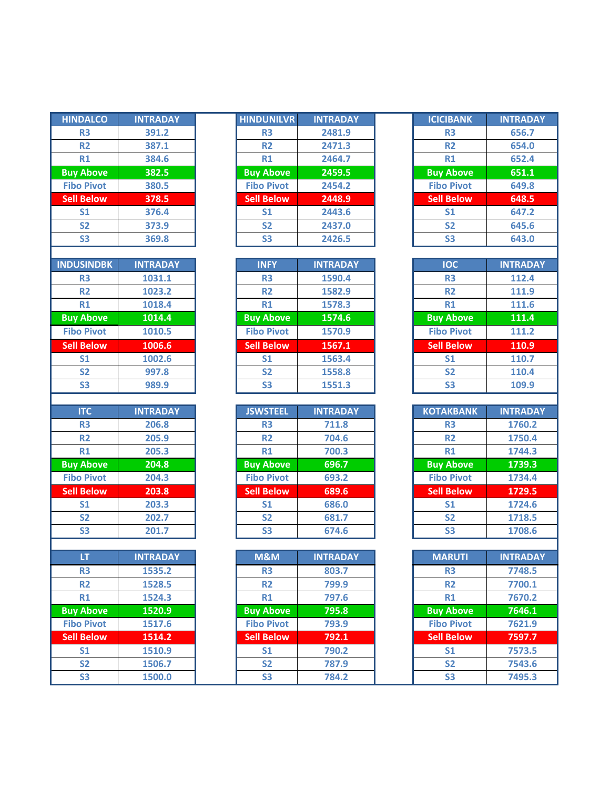| <b>HINDALCO</b>   | <b>INTRADAY</b> |
|-------------------|-----------------|
| R <sub>3</sub>    | 391.2           |
| R <sub>2</sub>    | 387.1           |
| <b>R1</b>         | 384.6           |
| <b>Buy Above</b>  | 382.5           |
| <b>Fibo Pivot</b> | 380.5           |
| <b>Sell Below</b> | 378.5           |
| S <sub>1</sub>    | 376.4           |
| S <sub>2</sub>    | 373.9           |
| S <sub>3</sub>    | 369.8           |
|                   |                 |
| <b>INDUSINDBK</b> | <b>INTRADAY</b> |
| R3                | 1031.1          |
| R <sub>2</sub>    | 1023.2          |
| R1                | 1018.4          |
| <b>Buy Above</b>  | 1014.4          |
| <b>Fibo Pivot</b> | 1010.5          |
| <b>Sell Below</b> | 1006.6          |
| S <sub>1</sub>    | 1002.6          |
| S <sub>2</sub>    | 997.8           |
| S <sub>3</sub>    | 989.9           |
|                   |                 |
|                   |                 |
| <b>ITC</b>        | <b>INTRADAY</b> |
| R <sub>3</sub>    | 206.8           |
| R <sub>2</sub>    | 205.9           |
| <b>R1</b>         | 205.3           |
| <b>Buy Above</b>  | 204.8           |
| <b>Fibo Pivot</b> | 204.3           |
| <b>Sell Below</b> | 203.8           |
| S1                | 203.3           |
| S <sub>2</sub>    | 202.7           |
| S3                | 201.7           |
|                   |                 |
| LT                | <b>INTRADAY</b> |
| R3                | 1535.2          |
| R2                | 1528.5          |
| $R1$              | 1524.3          |
| <b>Buy Above</b>  | 1520.9          |
| <b>Fibo Pivot</b> | 1517.6          |
| <b>Sell Below</b> | 1514.2          |
| S <sub>1</sub>    | 1510.9          |
| S <sub>2</sub>    | 1506.7          |

| <b>HINDALCO</b>   | <b>INTRADAY</b> | <b>HINDUNILVR</b> | <b>INTRADAY</b> | <b>ICICIBANK</b>  | <b>INTRADAY</b> |
|-------------------|-----------------|-------------------|-----------------|-------------------|-----------------|
| <b>R3</b>         | 391.2           | R <sub>3</sub>    | 2481.9          | R <sub>3</sub>    | 656.7           |
| R <sub>2</sub>    | 387.1           | R <sub>2</sub>    | 2471.3          | <b>R2</b>         | 654.0           |
| <b>R1</b>         | 384.6           | R1                | 2464.7          | R1                | 652.4           |
| <b>Buy Above</b>  | 382.5           | <b>Buy Above</b>  | 2459.5          | <b>Buy Above</b>  | 651.1           |
| <b>Fibo Pivot</b> | 380.5           | <b>Fibo Pivot</b> | 2454.2          | <b>Fibo Pivot</b> | 649.8           |
| <b>Sell Below</b> | 378.5           | <b>Sell Below</b> | 2448.9          | <b>Sell Below</b> | 648.5           |
| S <sub>1</sub>    | 376.4           | S <sub>1</sub>    | 2443.6          | S <sub>1</sub>    | 647.2           |
| <b>S2</b>         | 373.9           | <b>S2</b>         | 2437.0          | <b>S2</b>         | 645.6           |
| S <sub>3</sub>    | 369.8           | S <sub>3</sub>    | 2426.5          | S <sub>3</sub>    | 643.0           |
|                   |                 |                   |                 |                   |                 |

| <b>INDUSINDBK</b> | <b>INTRADAY</b> |
|-------------------|-----------------|
| R <sub>3</sub>    | 1031.1          |
| <b>R2</b>         | 1023.2          |
| R1                | 1018.4          |
| <b>Buy Above</b>  | 1014.4          |
| <b>Fibo Pivot</b> | 1010.5          |
| <b>Sell Below</b> | 1006.6          |
| S <sub>1</sub>    | 1002.6          |
| <b>S2</b>         | 997.8           |
| S <sub>3</sub>    | 989.9           |

| <b>ITC</b>        | <b>INTRADAY</b> | <b>JSWSTEEL</b>   | <b>INTRADAY</b> | <b>KOTAKBANK</b>  | <b>INTRADAY</b> |
|-------------------|-----------------|-------------------|-----------------|-------------------|-----------------|
| <b>R3</b>         | 206.8           | R <sub>3</sub>    | 711.8           | R <sub>3</sub>    | 1760.2          |
| <b>R2</b>         | 205.9           | R <sub>2</sub>    | 704.6           | <b>R2</b>         | 1750.4          |
| R1                | 205.3           | R1                | 700.3           | R1                | 1744.3          |
| <b>Buy Above</b>  | 204.8           | <b>Buy Above</b>  | 696.7           | <b>Buy Above</b>  | 1739.3          |
| <b>Fibo Pivot</b> | 204.3           | <b>Fibo Pivot</b> | 693.2           | <b>Fibo Pivot</b> | 1734.4          |
| <b>Sell Below</b> | 203.8           | <b>Sell Below</b> | 689.6           | <b>Sell Below</b> | 1729.5          |
| S <sub>1</sub>    | 203.3           | S <sub>1</sub>    | 686.0           | S <sub>1</sub>    | 1724.6          |
| S <sub>2</sub>    | 202.7           | <b>S2</b>         | 681.7           | <b>S2</b>         | 1718.5          |
| S <sub>3</sub>    | 201.7           | S <sub>3</sub>    | 674.6           | S <sub>3</sub>    | 1708.6          |

| LT                | <b>INTRADAY</b> | M&M               | <b>INTRADAY</b> | <b>MARUTI</b>     | <b>INTRADAY</b> |
|-------------------|-----------------|-------------------|-----------------|-------------------|-----------------|
| R <sub>3</sub>    | 1535.2          | <b>R3</b>         | 803.7           | R <sub>3</sub>    | 7748.5          |
| <b>R2</b>         | 1528.5          | R <sub>2</sub>    | 799.9           | <b>R2</b>         | 7700.1          |
| R1                | 1524.3          | R1                | 797.6           | R1                | 7670.2          |
| <b>Buy Above</b>  | 1520.9          | <b>Buy Above</b>  | 795.8           | <b>Buy Above</b>  | 7646.1          |
| <b>Fibo Pivot</b> | 1517.6          | <b>Fibo Pivot</b> | 793.9           | <b>Fibo Pivot</b> | 7621.9          |
| <b>Sell Below</b> | 1514.2          | <b>Sell Below</b> | 792.1           | <b>Sell Below</b> | 7597.7          |
| S <sub>1</sub>    | 1510.9          | S <sub>1</sub>    | 790.2           | S <sub>1</sub>    | 7573.5          |
| <b>S2</b>         | 1506.7          | S <sub>2</sub>    | 787.9           | <b>S2</b>         | 7543.6          |
| S <sub>3</sub>    | 1500.0          | <b>S3</b>         | 784.2           | <b>S3</b>         | 7495.3          |

| <b>ICICIBANK</b>  | <b>INTRADAY</b> |
|-------------------|-----------------|
| R3                | 656.7           |
| R <sub>2</sub>    | 654.0           |
| R1                | 652.4           |
| <b>Buy Above</b>  | 651.1           |
| <b>Fibo Pivot</b> | 649.8           |
| <b>Sell Below</b> | 648.5           |
| S <sub>1</sub>    | 647.2           |
| <b>S2</b>         | 645.6           |
| S3                | 643.0           |

| <b>IOC</b>        | <b>INTRADAY</b> |
|-------------------|-----------------|
| R3                | 112.4           |
| R <sub>2</sub>    | 111.9           |
| R1                | 111.6           |
| <b>Buy Above</b>  | 111.4           |
| <b>Fibo Pivot</b> | 111.2           |
| <b>Sell Below</b> | 110.9           |
| S <sub>1</sub>    | 110.7           |
| <b>S2</b>         | 110.4           |
| S3                | 109.9           |

| <b>KOTAKBANK</b>  | <b>INTRADAY</b> |
|-------------------|-----------------|
| R3                | 1760.2          |
| R <sub>2</sub>    | 1750.4          |
| R1                | 1744.3          |
| <b>Buy Above</b>  | 1739.3          |
| <b>Fibo Pivot</b> | 1734.4          |
| <b>Sell Below</b> | 1729.5          |
| S <sub>1</sub>    | 1724.6          |
| <b>S2</b>         | 1718.5          |
| 53                | 1708.6          |

| <b>MARUTI</b>     | <b>INTRADAY</b> |
|-------------------|-----------------|
| R3                | 7748.5          |
| R <sub>2</sub>    | 7700.1          |
| R1                | 7670.2          |
| <b>Buy Above</b>  | 7646.1          |
| <b>Fibo Pivot</b> | 7621.9          |
| <b>Sell Below</b> | 7597.7          |
| S <sub>1</sub>    | 7573.5          |
| S <sub>2</sub>    | 7543.6          |
| S3                | 7495.3          |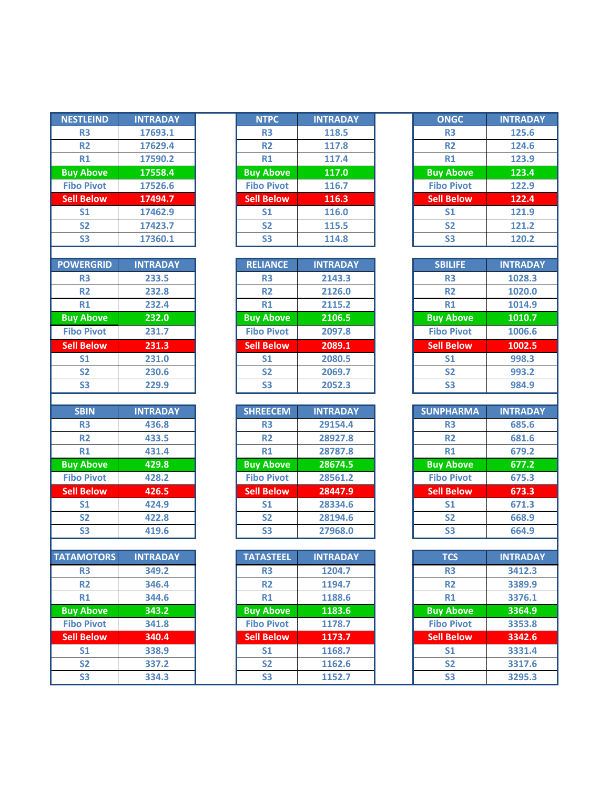| <b>NESTLEIND</b>                      | <b>INTRADAY</b> | <b>NTPC</b>                 | <b>INTRADAY</b>  | <b>ONGC</b>                 | <b>INTRADAY</b>           |
|---------------------------------------|-----------------|-----------------------------|------------------|-----------------------------|---------------------------|
| R <sub>3</sub>                        | 17693.1         | R <sub>3</sub>              | 118.5            | R <sub>3</sub>              | 125.6                     |
| R <sub>2</sub>                        | 17629.4         | R <sub>2</sub>              | 117.8            | <b>R2</b>                   | 124.6                     |
| R1                                    | 17590.2         | <b>R1</b>                   | 117.4            | <b>R1</b>                   | 123.9                     |
| <b>Buy Above</b>                      | 17558.4         | <b>Buy Above</b>            | 117.0            | <b>Buy Above</b>            | 123.4                     |
| <b>Fibo Pivot</b>                     | 17526.6         | <b>Fibo Pivot</b>           | 116.7            | <b>Fibo Pivot</b>           | 122.9                     |
| <b>Sell Below</b>                     | 17494.7         | <b>Sell Below</b>           | 116.3            | <b>Sell Below</b>           | 122.4                     |
| S <sub>1</sub>                        | 17462.9         | S <sub>1</sub>              | 116.0            | S <sub>1</sub>              | 121.9                     |
| S <sub>2</sub>                        | 17423.7         | <b>S2</b>                   | 115.5            | <b>S2</b>                   | 121.2                     |
| <b>S3</b>                             | 17360.1         | <b>S3</b>                   | 114.8            | <b>S3</b>                   | 120.2                     |
|                                       |                 |                             |                  |                             |                           |
| <b>POWERGRID</b>                      | <b>INTRADAY</b> | <b>RELIANCE</b>             | <b>INTRADAY</b>  | <b>SBILIFE</b>              | <b>INTRADAY</b>           |
| R <sub>3</sub>                        | 233.5           | <b>R3</b>                   | 2143.3           | <b>R3</b>                   | 1028.3                    |
| <b>R2</b>                             | 232.8           | <b>R2</b>                   | 2126.0           | <b>R2</b>                   | 1020.0                    |
| R1                                    | 232.4           | R1                          | 2115.2           | R1                          | 1014.9                    |
| <b>Buy Above</b>                      | 232.0           | <b>Buy Above</b>            | 2106.5           | <b>Buy Above</b>            | 1010.7                    |
| <b>Fibo Pivot</b>                     | 231.7           | <b>Fibo Pivot</b>           | 2097.8           | <b>Fibo Pivot</b>           | 1006.6                    |
| <b>Sell Below</b>                     | 231.3           | <b>Sell Below</b>           | 2089.1           | <b>Sell Below</b>           | 1002.5                    |
| S <sub>1</sub>                        | 231.0           | S <sub>1</sub>              | 2080.5           | S <sub>1</sub>              | 998.3                     |
| S <sub>2</sub>                        | 230.6           | S <sub>2</sub>              | 2069.7           | S <sub>2</sub>              | 993.2                     |
| S <sub>3</sub>                        | 229.9           | S <sub>3</sub>              | 2052.3           | <b>S3</b>                   | 984.9                     |
|                                       |                 |                             |                  |                             |                           |
| <b>SBIN</b>                           | <b>INTRADAY</b> | <b>SHREECEM</b>             | <b>INTRADAY</b>  | <b>SUNPHARMA</b>            | <b>INTRADAY</b>           |
| R <sub>3</sub>                        | 436.8           | R <sub>3</sub>              | 29154.4          | R <sub>3</sub>              | 685.6                     |
| R <sub>2</sub><br>R1                  | 433.5           | R <sub>2</sub><br>R1        | 28927.8          | <b>R2</b><br>R1             | 681.6                     |
|                                       | 431.4           |                             | 28787.8          |                             | 679.2                     |
| <b>Buy Above</b>                      | 429.8           | <b>Buy Above</b>            | 28674.5          | <b>Buy Above</b>            | 677.2                     |
| <b>Fibo Pivot</b>                     | 428.2           | <b>Fibo Pivot</b>           | 28561.2          | <b>Fibo Pivot</b>           | 675.3                     |
| <b>Sell Below</b>                     | 426.5           | <b>Sell Below</b>           | 28447.9          | <b>Sell Below</b>           | 673.3                     |
| S <sub>1</sub>                        | 424.9           | S <sub>1</sub>              | 28334.6          | S <sub>1</sub>              | 671.3                     |
| S <sub>2</sub>                        | 422.8           | S <sub>2</sub>              | 28194.6          | S <sub>2</sub>              | 668.9                     |
| <b>S3</b>                             |                 |                             |                  |                             |                           |
|                                       | 419.6           | <b>S3</b>                   | 27968.0          | <b>S3</b>                   | 664.9                     |
|                                       |                 |                             |                  |                             |                           |
|                                       | <b>INTRADAY</b> | <b>TATASTEEL</b>            | <b>INTRADAY</b>  | <b>TCS</b>                  |                           |
| R <sub>3</sub>                        | 349.2           | R <sub>3</sub>              | 1204.7           | R <sub>3</sub>              | 3412.3                    |
| R <sub>2</sub>                        | 346.4           | <b>R2</b>                   | 1194.7           | <b>R2</b>                   | 3389.9                    |
| R1                                    | 344.6           | R1                          | 1188.6           | R1                          | 3376.1                    |
| <b>TATAMOTORS</b><br><b>Buy Above</b> | 343.2           | <b>Buy Above</b>            | 1183.6           | <b>Buy Above</b>            | 3364.9                    |
| <b>Fibo Pivot</b>                     | 341.8           | <b>Fibo Pivot</b>           | 1178.7           | <b>Fibo Pivot</b>           | 3353.8                    |
| <b>Sell Below</b>                     | 340.4           | <b>Sell Below</b>           | 1173.7           | <b>Sell Below</b>           | <b>INTRADAY</b><br>3342.6 |
| S <sub>1</sub><br><b>S2</b>           | 338.9<br>337.2  | S <sub>1</sub><br><b>S2</b> | 1168.7<br>1162.6 | S <sub>1</sub><br><b>S2</b> | 3331.4<br>3317.6          |

I

| <b>NESTLEIND</b>  | <b>INTRADAY</b> | <b>NTPC</b>       | <b>INTRADAY</b> | <b>ONGC</b>       | <b>INTRADAY</b> |
|-------------------|-----------------|-------------------|-----------------|-------------------|-----------------|
| R <sub>3</sub>    | 17693.1         | <b>R3</b>         | 118.5           | R <sub>3</sub>    | 125.6           |
| <b>R2</b>         | 17629.4         | R <sub>2</sub>    | 117.8           | <b>R2</b>         | 124.6           |
| R1                | 17590.2         | R1                | 117.4           | R1                | 123.9           |
| <b>Buy Above</b>  | 17558.4         | <b>Buy Above</b>  | 117.0           | <b>Buy Above</b>  | 123.4           |
| <b>Fibo Pivot</b> | 17526.6         | <b>Fibo Pivot</b> | 116.7           | <b>Fibo Pivot</b> | 122.9           |
| <b>Sell Below</b> | 17494.7         | <b>Sell Below</b> | 116.3           | <b>Sell Below</b> | 122.4           |
| S <sub>1</sub>    | 17462.9         | S <sub>1</sub>    | 116.0           | S <sub>1</sub>    | 121.9           |
| <b>S2</b>         | 17423.7         | <b>S2</b>         | 115.5           | <b>S2</b>         | 121.2           |
| S <sub>3</sub>    | 17360.1         | S <sub>3</sub>    | 114.8           | S <sub>3</sub>    | 120.2           |
|                   |                 |                   |                 |                   |                 |

| <b>OWERGRID</b>   | <b>INTRADAY</b> | <b>RELIANCE</b>   | <b>INTRADAY</b> | <b>SBILIFE</b>    | <b>INTRADA</b> |
|-------------------|-----------------|-------------------|-----------------|-------------------|----------------|
| R <sub>3</sub>    | 233.5           | R <sub>3</sub>    | 2143.3          | R <sub>3</sub>    | 1028.3         |
| R <sub>2</sub>    | 232.8           | R <sub>2</sub>    | 2126.0          | R <sub>2</sub>    | 1020.0         |
| R1                | 232.4           | R1                | 2115.2          | R1                | 1014.9         |
| <b>Buy Above</b>  | 232.0           | <b>Buy Above</b>  | 2106.5          | <b>Buy Above</b>  | 1010.7         |
| <b>Fibo Pivot</b> | 231.7           | <b>Fibo Pivot</b> | 2097.8          | <b>Fibo Pivot</b> | 1006.6         |
| <b>Sell Below</b> | 231.3           | <b>Sell Below</b> | 2089.1          | <b>Sell Below</b> | 1002.5         |
| S <sub>1</sub>    | 231.0           | S <sub>1</sub>    | 2080.5          | S <sub>1</sub>    | 998.3          |
| <b>S2</b>         | 230.6           | S <sub>2</sub>    | 2069.7          | <b>S2</b>         | 993.2          |
| S <sub>3</sub>    | 229.9           | S <sub>3</sub>    | 2052.3          | S <sub>3</sub>    | 984.9          |

| <b>SBIN</b>       | <b>INTRADAY</b> |
|-------------------|-----------------|
| <b>R3</b>         | 436.8           |
| <b>R2</b>         | 433.5           |
| R1                | 431.4           |
| <b>Buy Above</b>  | 429.8           |
| <b>Fibo Pivot</b> | 428.2           |
| <b>Sell Below</b> | 426.5           |
| S <sub>1</sub>    | 424.9           |
| S <sub>2</sub>    | 422.8           |
| S <sub>3</sub>    | 419.6           |

| <b>ATAMOTORS</b>  | <b>INTRADAY</b> | <b>TATASTEEL</b>  | <b>INTRADAY</b> | <b>TCS</b>        | <b>INTRADA</b> |
|-------------------|-----------------|-------------------|-----------------|-------------------|----------------|
| <b>R3</b>         | 349.2           | R <sub>3</sub>    | 1204.7          | R <sub>3</sub>    | 3412.3         |
| <b>R2</b>         | 346.4           | R <sub>2</sub>    | 1194.7          | <b>R2</b>         | 3389.9         |
| R1                | 344.6           | R1                | 1188.6          | R1                | 3376.1         |
| <b>Buy Above</b>  | 343.2           | <b>Buy Above</b>  | 1183.6          | <b>Buy Above</b>  | 3364.9         |
| <b>Fibo Pivot</b> | 341.8           | <b>Fibo Pivot</b> | 1178.7          | <b>Fibo Pivot</b> | 3353.8         |
| <b>Sell Below</b> | 340.4           | <b>Sell Below</b> | 1173.7          | <b>Sell Below</b> | 3342.6         |
| S <sub>1</sub>    | 338.9           | S <sub>1</sub>    | 1168.7          | S <sub>1</sub>    | 3331.4         |
| S <sub>2</sub>    | 337.2           | S <sub>2</sub>    | 1162.6          | <b>S2</b>         | 3317.6         |
| S <sub>3</sub>    | 334.3           | <b>S3</b>         | 1152.7          | S <sub>3</sub>    | 3295.3         |

| ONGC              | <b>INTRADAY</b> |
|-------------------|-----------------|
| R3                | 125.6           |
| R <sub>2</sub>    | 124.6           |
| R1                | 123.9           |
| <b>Buy Above</b>  | 123.4           |
| <b>Fibo Pivot</b> | 122.9           |
| <b>Sell Below</b> | 122.4           |
| S <sub>1</sub>    | 121.9           |
| <b>S2</b>         | 121.2           |
| S3                | 120.2           |

| <b>SBILIFE</b>    | <b>INTRADAY</b> |
|-------------------|-----------------|
| R3                | 1028.3          |
| R2                | 1020.0          |
| R1                | 1014.9          |
| <b>Buy Above</b>  | 1010.7          |
| <b>Fibo Pivot</b> | 1006.6          |
| <b>Sell Below</b> | 1002.5          |
| S <sub>1</sub>    | 998.3           |
| S <sub>2</sub>    | 993.2           |
| S3                | 984.9           |

| <b>SUNPHARMA</b>  | <b>INTRADAY</b> |
|-------------------|-----------------|
| R3                | 685.6           |
| R <sub>2</sub>    | 681.6           |
| R1                | 679.2           |
| <b>Buy Above</b>  | 677.2           |
| <b>Fibo Pivot</b> | 675.3           |
| <b>Sell Below</b> | 673.3           |
| S <sub>1</sub>    | 671.3           |
| <b>S2</b>         | 668.9           |
| C2                | GGA Q           |

| <b>TCS</b>        | <b>INTRADAY</b> |
|-------------------|-----------------|
| R3                | 3412.3          |
| R <sub>2</sub>    | 3389.9          |
| R1                | 3376.1          |
| <b>Buy Above</b>  | 3364.9          |
| <b>Fibo Pivot</b> | 3353.8          |
| <b>Sell Below</b> | 3342.6          |
| S <sub>1</sub>    | 3331.4          |
| S <sub>2</sub>    | 3317.6          |
| S3                | 3295.3          |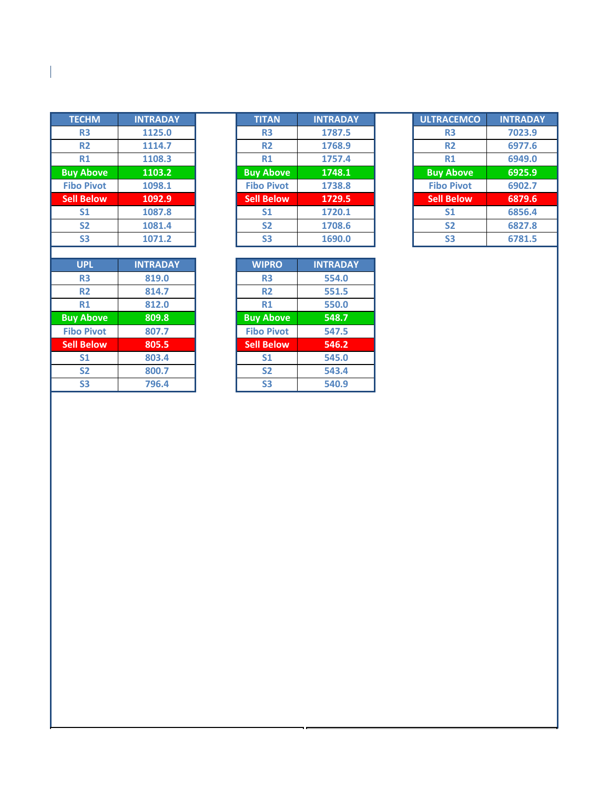| <b>TECHM</b><br><b>INTRADAY</b><br><b>TITAN</b><br>1125.0<br>R <sub>3</sub><br>R <sub>3</sub><br>R <sub>2</sub><br>1114.7<br><b>R2</b><br>R1<br>1108.3<br>R1<br><b>Buy Above</b><br>1103.2<br><b>Buy Above</b> |                           |
|----------------------------------------------------------------------------------------------------------------------------------------------------------------------------------------------------------------|---------------------------|
|                                                                                                                                                                                                                | 1787.<br>1768.9<br>1757.4 |
|                                                                                                                                                                                                                |                           |
|                                                                                                                                                                                                                |                           |
|                                                                                                                                                                                                                |                           |
|                                                                                                                                                                                                                | 1748.1                    |
| <b>Fibo Pivot</b><br><b>Fibo Pivot</b><br>1098.1                                                                                                                                                               | 1738.8                    |
| <b>Sell Below</b><br><b>Sell Below</b><br>1092.9                                                                                                                                                               | 1729.                     |
| S <sub>1</sub><br>1087.8<br>S <sub>1</sub>                                                                                                                                                                     | 1720.1                    |
| <b>S2</b><br><b>S2</b><br>1081.4                                                                                                                                                                               | 1708.6                    |
| <b>S3</b><br><b>S3</b><br>1071.2                                                                                                                                                                               | 1690.0                    |
|                                                                                                                                                                                                                |                           |
| <b>WIPRO</b><br><b>UPL</b><br><b>INTRADAY</b>                                                                                                                                                                  | <b>INTRAD</b>             |
| R <sub>3</sub><br>819.0<br>R <sub>3</sub>                                                                                                                                                                      | 554.0                     |
| <b>R2</b><br>814.7<br><b>R2</b>                                                                                                                                                                                | 551.5                     |
| R1<br>812.0<br>R1                                                                                                                                                                                              | 550.0                     |
|                                                                                                                                                                                                                |                           |
| <b>Buy Above</b><br>809.8<br><b>Buy Above</b>                                                                                                                                                                  | 548.7                     |
| <b>Fibo Pivot</b><br><b>Fibo Pivot</b><br>807.7                                                                                                                                                                | 547.5                     |
| <b>Sell Below</b><br>805.5<br><b>Sell Below</b>                                                                                                                                                                | 546.2                     |
| S <sub>1</sub><br>803.4<br><b>S1</b>                                                                                                                                                                           |                           |
| <b>S2</b><br>800.7<br><b>S2</b>                                                                                                                                                                                | 545.0<br>543.4            |

 $\overline{\phantom{a}}$ 

| <b>TECHM</b>      | <b>INTRADAY</b> | <b>TITAN</b>      | <b>INTRADAY</b> | <b>ULTRACEMCO</b> | <b>INTRADAY</b> |
|-------------------|-----------------|-------------------|-----------------|-------------------|-----------------|
| <b>R3</b>         | 1125.0          | <b>R3</b>         | 1787.5          | R <sub>3</sub>    | 7023.9          |
| <b>R2</b>         | 1114.7          | <b>R2</b>         | 1768.9          | <b>R2</b>         | 6977.6          |
| <b>R1</b>         | 1108.3          | R1                | 1757.4          | R1                | 6949.0          |
| <b>Buy Above</b>  | 1103.2          | <b>Buy Above</b>  | 1748.1          | <b>Buy Above</b>  | 6925.9          |
| <b>Fibo Pivot</b> | 1098.1          | <b>Fibo Pivot</b> | 1738.8          | <b>Fibo Pivot</b> | 6902.7          |
| <b>Sell Below</b> | 1092.9          | <b>Sell Below</b> | 1729.5          | <b>Sell Below</b> | 6879.6          |
| S <sub>1</sub>    | 1087.8          | S <sub>1</sub>    | 1720.1          | S <sub>1</sub>    | 6856.4          |
| S <sub>2</sub>    | 1081.4          | S <sub>2</sub>    | 1708.6          | <b>S2</b>         | 6827.8          |
| S <sub>3</sub>    | 1071.2          | S <sub>3</sub>    | 1690.0          | S <sub>3</sub>    | 6781.5          |

| <b>ULTRACEMCO</b> | <b>INTRADAY</b> |
|-------------------|-----------------|
| R3                | 7023.9          |
| R <sub>2</sub>    | 6977.6          |
| R1                | 6949.0          |
| <b>Buy Above</b>  | 6925.9          |
| <b>Fibo Pivot</b> | 6902.7          |
| <b>Sell Below</b> | 6879.6          |
| S <sub>1</sub>    | 6856.4          |
| <b>S2</b>         | 6827.8          |
| S3                | 6781.5          |

| <b>UPL</b>     | <b>INTRADAY</b> | <b>WIPRO</b>      | <b>INTRADAY</b> |
|----------------|-----------------|-------------------|-----------------|
| R <sub>3</sub> | 819.0           | R <sub>3</sub>    | 554.0           |
| <b>R2</b>      | 814.7           | R <sub>2</sub>    | 551.5           |
| <b>R1</b>      | 812.0           | R1                | 550.0           |
| <b>Above</b>   | 809.8           | <b>Buy Above</b>  | 548.7           |
| o Pivot        | 807.7           | <b>Fibo Pivot</b> | 547.5           |
| <b>Below</b>   | 805.5           | <b>Sell Below</b> | 546.2           |
| S <sub>1</sub> | 803.4           | S <sub>1</sub>    | 545.0           |
| S <sub>2</sub> | 800.7           | S <sub>2</sub>    | 543.4           |
| S <sub>3</sub> | 796.4           | S <sub>3</sub>    | 540.9           |